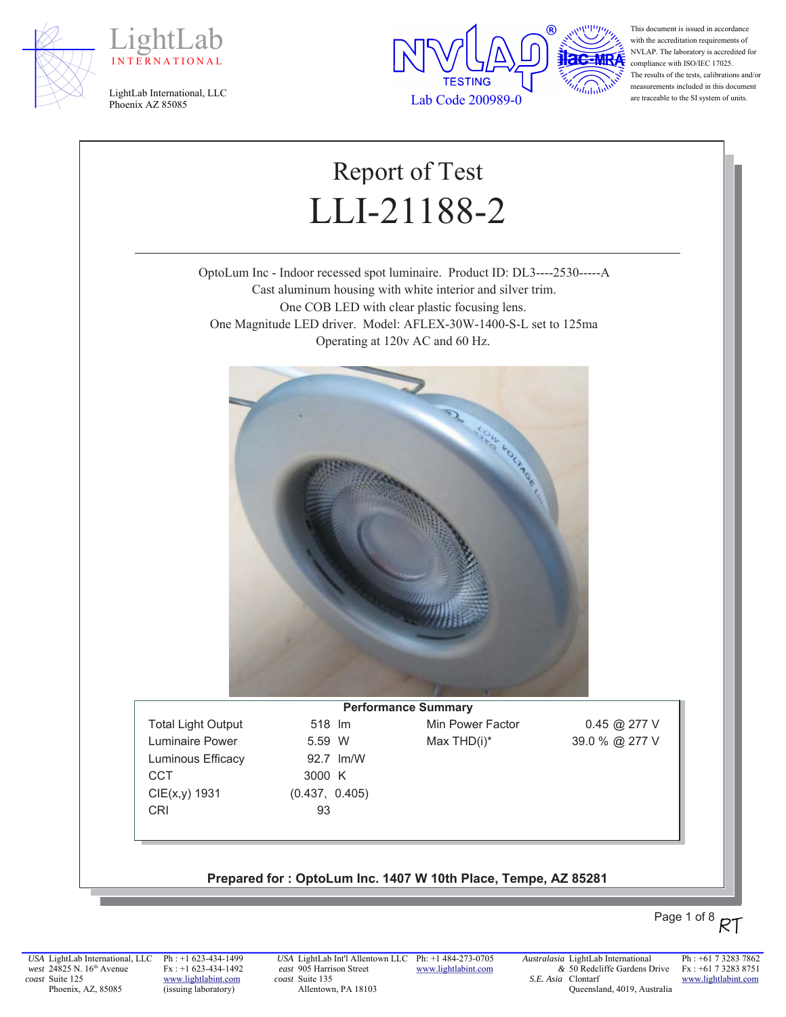





This document is issued in accordance with the accreditation requirements of NVLAP. The laboratory is accredited for compliance with ISO/IEC 17025. The results of the tests, calibrations and/or measurements included in this document are traceable to the SI system of units.

# Report of Test LLI-21188-2

OptoLum Inc - Indoor recessed spot luminaire. Product ID: DL3----2530-----A Cast aluminum housing with white interior and silver trim. One COB LED with clear plastic focusing lens. One Magnitude LED driver. Model: AFLEX-30W-1400-S-L set to 125ma Operating at 120v AC and 60 Hz.



Luminous Efficacy 92.7 Im/W CCT 3000 K  $CIE(x,y)$  1931 (0.437, 0.405) CRI 93

**Performance Summary** Total Light Output 518 Im Min Power Factor 0.45 @ 277 V Luminaire Power  $5.59 \text{ W}$  Max THD(i)\*  $39.0 \%$  @ 277 V

#### Prepared for: OptoLum Inc. 1407 W 10th Place, Tempe, AZ 85281

## Page 1 of 8  $RT$

*USA* LightLab International, LLC *west* 24825 N. 16<sup>th</sup> Avenue *coast* Suite 125 Phoenix, AZ, 85085

Ph : +1 623-434-1499 Fx : +1 623-434-1492 www.lightlabint.com (issuing laboratory)

*USA* LightLab Int'l Allentown LLC Ph: +1 484-273-0705 *east* 905 Harrison Street *coast* Suite 135 Allentown, PA 18103

www.lightlabint.com

*&* 50 Redcliffe Gardens Drive *S.E. Asia*  Clontarf Queensland, 4019, Australia

*Australasia* LightLab International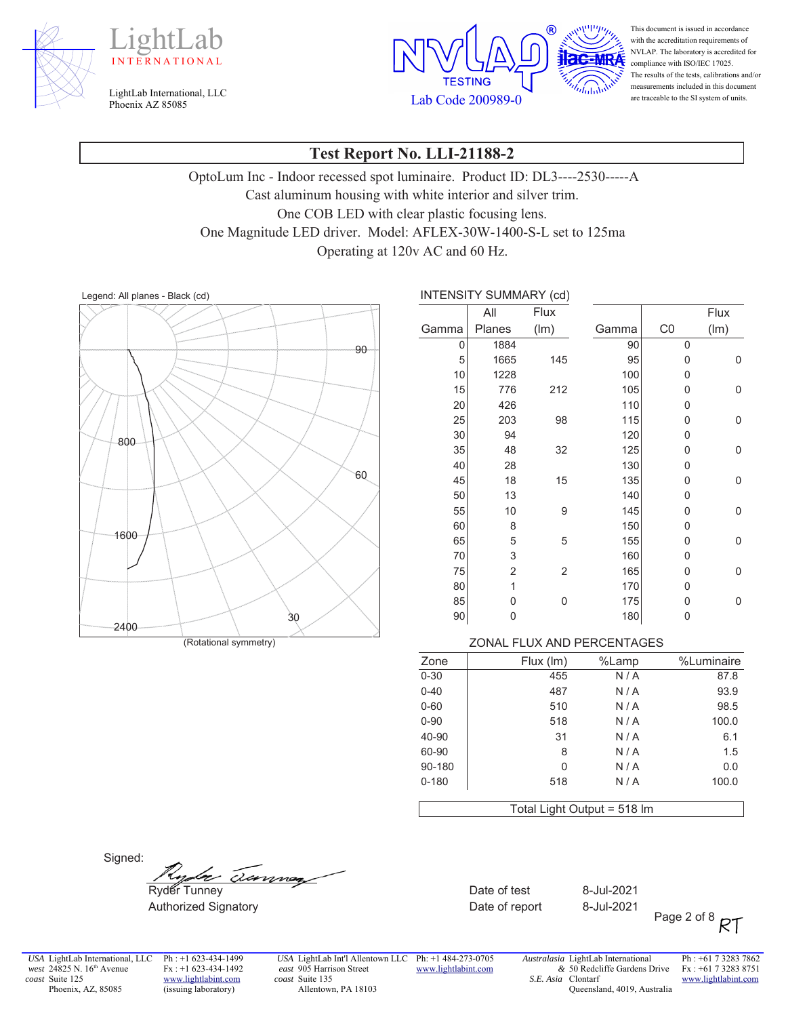





This document is issued in accordance with the accreditation requirements of NVLAP. The laboratory is accredited for compliance with ISO/IEC 17025. The results of the tests, calibrations and/or measurements included in this document are traceable to the SI system of units.

#### **Test Report No. LLI-21188-2**

OptoLum Inc - Indoor recessed spot luminaire. Product ID: DL3----2530-----A Cast aluminum housing with white interior and silver trim. One COB LED with clear plastic focusing lens. One Magnitude LED driver. Model: AFLEX-30W-1400-S-L set to 125ma Operating at 120v AC and 60 Hz.

Legend: All planes - Black (cd) <br> **INTENSITY SUMMARY (cd)** 



|       | INTENSITY SUMMARY (Cd) |                |       |                |      |
|-------|------------------------|----------------|-------|----------------|------|
|       | All                    | <b>Flux</b>    |       |                | Flux |
| Gamma | Planes                 | (lm)           | Gamma | C <sub>0</sub> | (lm) |
| 0     | 1884                   |                | 90    | 0              |      |
| 5     | 1665                   | 145            | 95    | 0              | 0    |
| 10    | 1228                   |                | 100   | 0              |      |
| 15    | 776                    | 212            | 105   | 0              | 0    |
| 20    | 426                    |                | 110   | 0              |      |
| 25    | 203                    | 98             | 115   | 0              | 0    |
| 30    | 94                     |                | 120   | 0              |      |
| 35    | 48                     | 32             | 125   | 0              | 0    |
| 40    | 28                     |                | 130   | 0              |      |
| 45    | 18                     | 15             | 135   | 0              | 0    |
| 50    | 13                     |                | 140   | 0              |      |
| 55    | 10                     | 9              | 145   | 0              | 0    |
| 60    | 8                      |                | 150   | 0              |      |
| 65    | 5                      | 5              | 155   | 0              | 0    |
| 70    | 3                      |                | 160   | 0              |      |
| 75    | 2                      | $\overline{2}$ | 165   | 0              | 0    |
| 80    | 1                      |                | 170   | 0              |      |
| 85    | 0                      | 0              | 175   | 0              | 0    |
| 90    | 0                      |                | 180   | 0              |      |
|       |                        |                |       |                |      |

| %Luminaire | %Lamp | Flux (Im)                   | Zone      |
|------------|-------|-----------------------------|-----------|
| 87.8       | N/A   | 455                         | $0 - 30$  |
| 93.9       | N/A   | 487                         | $0 - 40$  |
| 98.5       | N/A   | 510                         | $0 - 60$  |
| 100.0      | N/A   | 518                         | $0 - 90$  |
| 6.1        | N/A   | 31                          | 40-90     |
| 1.5        | N/A   | 8                           | 60-90     |
| 0.0        | N/A   | 0                           | 90-180    |
| 100.0      | N/A   | 518                         | $0 - 180$ |
|            |       | Total Light Output = 518 Im |           |

Signed:

 $\frac{f_{\text{y}}}{f_{\text{y}}}}$   $\frac{f_{\text{y}}}{f_{\text{y}}}}$  -  $\frac{f_{\text{y}}}{f_{\text{y}}}}$  -Jul-2021

Authorized Signatory **Mathorized Signatory CONTENSISY CONTENTS Date of report** 8-Jul-2021

Page 2 of 8  $RT$ 

*USA* LightLab International, LLC *west* 24825 N. 16<sup>th</sup> Avenue *coast* Suite 125 Phoenix, AZ, 85085

Ph : +1 623-434-1499 Fx : +1 623-434-1492 www.lightlabint.com (issuing laboratory)

*USA* LightLab Int'l Allentown LLC Ph: +1 484-273-0705 *east* 905 Harrison Street *coast* Suite 135 Allentown, PA 18103

www.lightlabint.com

*Australasia* LightLab International *&* 50 Redcliffe Gardens Drive *S.E. Asia*  Clontarf Queensland, 4019, Australia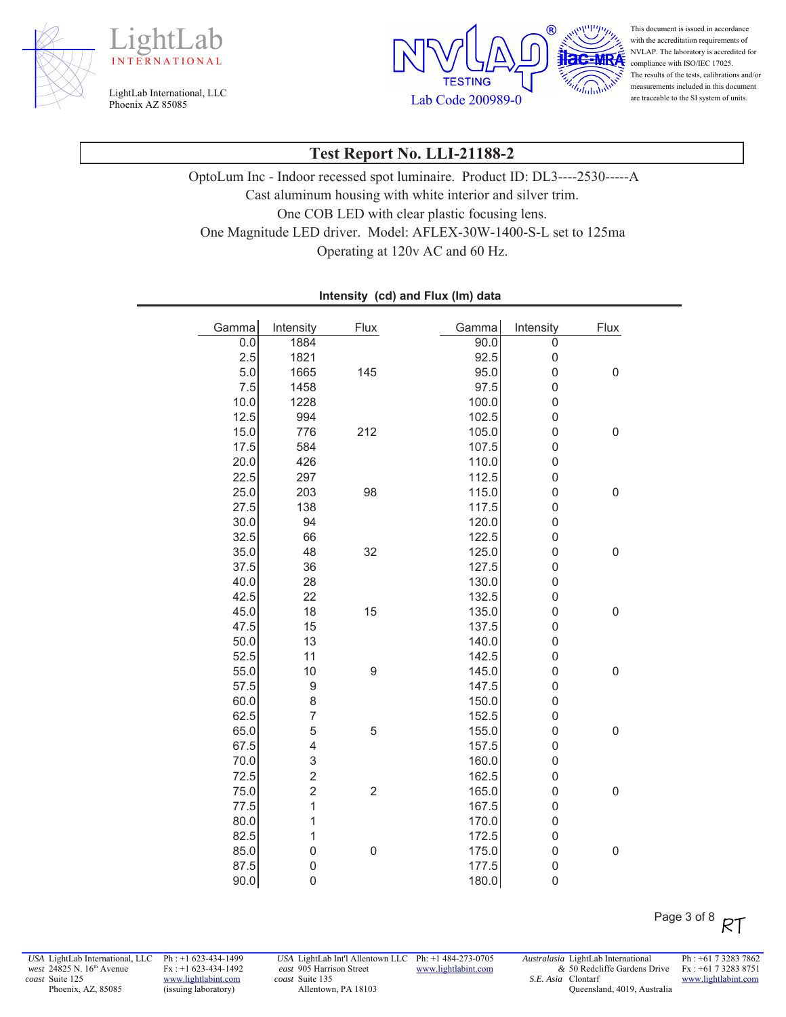





This document is issued in accordance with the accreditation requirements of NVLAP. The laboratory is accredited for compliance with ISO/IEC 17025. The results of the tests, calibrations and/or measurements included in this document are traceable to the SI system of units.

#### **Test Report No. LLI-21188-2**

OptoLum Inc - Indoor recessed spot luminaire. Product ID: DL3----2530-----A Cast aluminum housing with white interior and silver trim. One COB LED with clear plastic focusing lens. One Magnitude LED driver. Model: AFLEX-30W-1400-S-L set to 125ma Operating at 120v AC and 60 Hz.

| Gamma | Intensity               | Flux             | Gamma | Intensity        | Flux             |
|-------|-------------------------|------------------|-------|------------------|------------------|
| 0.0   | 1884                    |                  | 90.0  | $\overline{0}$   |                  |
| 2.5   | 1821                    |                  | 92.5  | $\pmb{0}$        |                  |
| 5.0   | 1665                    | 145              | 95.0  | $\boldsymbol{0}$ | $\boldsymbol{0}$ |
| 7.5   | 1458                    |                  | 97.5  | $\overline{0}$   |                  |
| 10.0  | 1228                    |                  | 100.0 | $\mathbf 0$      |                  |
| 12.5  | 994                     |                  | 102.5 | $\mathbf 0$      |                  |
| 15.0  | 776                     | 212              | 105.0 | $\mathbf 0$      | $\boldsymbol{0}$ |
| 17.5  | 584                     |                  | 107.5 | $\mathbf 0$      |                  |
| 20.0  | 426                     |                  | 110.0 | $\mathbf 0$      |                  |
| 22.5  | 297                     |                  | 112.5 | $\mathbf 0$      |                  |
| 25.0  | 203                     | 98               | 115.0 | $\mathbf 0$      | $\mathbf 0$      |
| 27.5  | 138                     |                  | 117.5 | $\mathbf 0$      |                  |
| 30.0  | 94                      |                  | 120.0 | $\mathbf 0$      |                  |
| 32.5  | 66                      |                  | 122.5 | $\mathbf 0$      |                  |
| 35.0  | 48                      | 32               | 125.0 | $\mathbf 0$      | $\boldsymbol{0}$ |
| 37.5  | 36                      |                  | 127.5 | $\mathbf 0$      |                  |
| 40.0  | 28                      |                  | 130.0 | $\mathbf 0$      |                  |
| 42.5  | 22                      |                  | 132.5 | $\mathbf 0$      |                  |
| 45.0  | 18                      | 15               | 135.0 | $\mathbf 0$      | $\mathbf 0$      |
| 47.5  | 15                      |                  | 137.5 | $\mathbf 0$      |                  |
| 50.0  | 13                      |                  | 140.0 | $\mathbf 0$      |                  |
| 52.5  | 11                      |                  | 142.5 | $\mathbf 0$      |                  |
| 55.0  | 10                      | 9                | 145.0 | $\mathbf 0$      | $\boldsymbol{0}$ |
| 57.5  | 9                       |                  | 147.5 | $\mathbf 0$      |                  |
| 60.0  | 8                       |                  | 150.0 | $\mathbf 0$      |                  |
| 62.5  | $\overline{7}$          |                  | 152.5 | $\mathbf 0$      |                  |
| 65.0  | 5                       | 5                | 155.0 | $\overline{0}$   | $\boldsymbol{0}$ |
| 67.5  | 4                       |                  | 157.5 | $\mathbf 0$      |                  |
| 70.0  | 3                       |                  | 160.0 | $\mathbf 0$      |                  |
| 72.5  | $\overline{\mathbf{c}}$ |                  | 162.5 | $\mathbf 0$      |                  |
| 75.0  | $\overline{c}$          | $\overline{c}$   | 165.0 | $\mathbf 0$      | $\mathbf 0$      |
| 77.5  | $\overline{1}$          |                  | 167.5 | $\mathbf 0$      |                  |
| 80.0  | $\mathbf{1}$            |                  | 170.0 | $\mathbf 0$      |                  |
| 82.5  | $\mathbf{1}$            |                  | 172.5 | $\mathbf 0$      |                  |
| 85.0  | $\overline{0}$          | $\boldsymbol{0}$ | 175.0 | $\mathbf 0$      | $\mathbf 0$      |
| 87.5  | $\mathbf 0$             |                  | 177.5 | $\mathbf 0$      |                  |
| 90.0  | $\mathbf 0$             |                  | 180.0 | $\boldsymbol{0}$ |                  |

Intensity (cd) and Flux (Im) data

*USA* LightLab International, LLC *west* 24825 N. 16<sup>th</sup> Avenue *coast* Suite 125 Phoenix, AZ, 85085

Ph : +1 623-434-1499 Fx : +1 623-434-1492 www.lightlabint.com (issuing laboratory)

*USA* LightLab Int'l Allentown LLC Ph: +1 484-273-0705 *east* 905 Harrison Street *coast* Suite 135 Allentown, PA 18103

www.lightlabint.com

*Australasia* LightLab International *&* 50 Redcliffe Gardens Drive *S.E. Asia*  Clontarf Queensland, 4019, Australia Ph : +61 7 3283 7862 Fx : +61 7 3283 8751 www.lightlabint.com

Page 3 of 8 RT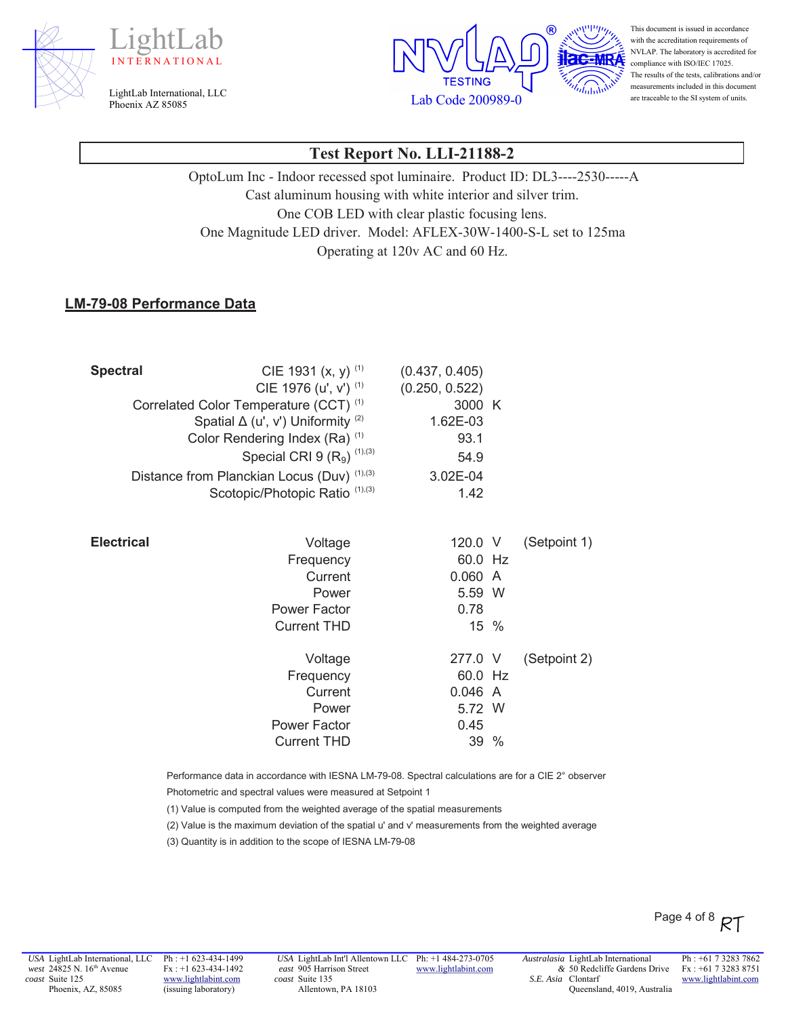





This document is issued in accordance with the accreditation requirements of NVLAP. The laboratory is accredited for compliance with ISO/IEC 17025. The results of the tests, calibrations and/or measurements included in this document are traceable to the SI system of units.

#### **Test Report No. LLI-21188-2**

OptoLum Inc - Indoor recessed spot luminaire. Product ID: DL3----2530-----A Cast aluminum housing with white interior and silver trim. One COB LED with clear plastic focusing lens. One Magnitude LED driver. Model: AFLEX-30W-1400-S-L set to 125ma Operating at 120v AC and 60 Hz.

#### **LM-79-08 Performance Data**

| <b>Spectral</b>   | CIE 1931 $(x, y)$ <sup>(1)</sup><br>CIE 1976 (u', v') (1)<br>Correlated Color Temperature (CCT) <sup>(1)</sup><br>Spatial $\Delta$ (u', v') Uniformity (2)<br>Color Rendering Index (Ra) <sup>(1)</sup><br>Special CRI 9 $(R_9)$ <sup>(1),(3)</sup><br>Distance from Planckian Locus (Duv) (1),(3) | (0.437, 0.405)<br>(0.250, 0.522)<br>3000 K<br>1.62E-03<br>93.1<br>54.9<br>3.02E-04 |              |
|-------------------|----------------------------------------------------------------------------------------------------------------------------------------------------------------------------------------------------------------------------------------------------------------------------------------------------|------------------------------------------------------------------------------------|--------------|
|                   | Scotopic/Photopic Ratio (1),(3)                                                                                                                                                                                                                                                                    | 1.42                                                                               |              |
| <b>Electrical</b> | Voltage<br>Frequency<br>Current<br>Power                                                                                                                                                                                                                                                           | 120.0 V<br>60.0 Hz<br>0.060 A<br>5.59 W                                            | (Setpoint 1) |
|                   | <b>Power Factor</b>                                                                                                                                                                                                                                                                                | 0.78                                                                               |              |
|                   | <b>Current THD</b>                                                                                                                                                                                                                                                                                 | 15 %                                                                               |              |
|                   | Voltage<br>Frequency                                                                                                                                                                                                                                                                               | 277.0 V<br>60.0 Hz                                                                 | (Setpoint 2) |
|                   | Current                                                                                                                                                                                                                                                                                            | 0.046 A                                                                            |              |
|                   | Power                                                                                                                                                                                                                                                                                              | 5.72 W                                                                             |              |
|                   | <b>Power Factor</b>                                                                                                                                                                                                                                                                                | 0.45                                                                               |              |
|                   | <b>Current THD</b>                                                                                                                                                                                                                                                                                 | 39 %                                                                               |              |

Performance data in accordance with IESNA LM-79-08. Spectral calculations are for a CIE 2° observer

Photometric and spectral values were measured at Setpoint 1

(1) Value is computed from the weighted average of the spatial measurements

(2) Value is the maximum deviation of the spatial u' and v' measurements from the weighted average

(3) Quantity is in addition to the scope of IESNA LM-79-08

Ph : +1 623-434-1499 Fx : +1 623-434-1492 www.lightlabint.com (issuing laboratory)

*USA* LightLab Int'l Allentown LLC Ph: +1 484-273-0705 *east* 905 Harrison Street *coast* Suite 135 Allentown, PA 18103

www.lightlabint.com

*Australasia* LightLab International *&* 50 Redcliffe Gardens Drive *S.E. Asia*  Clontarf Queensland, 4019, Australia

Ph : +61 7 3283 7862 Fx : +61 7 3283 8751 www.lightlabint.com

Page 4 of 8  $RT$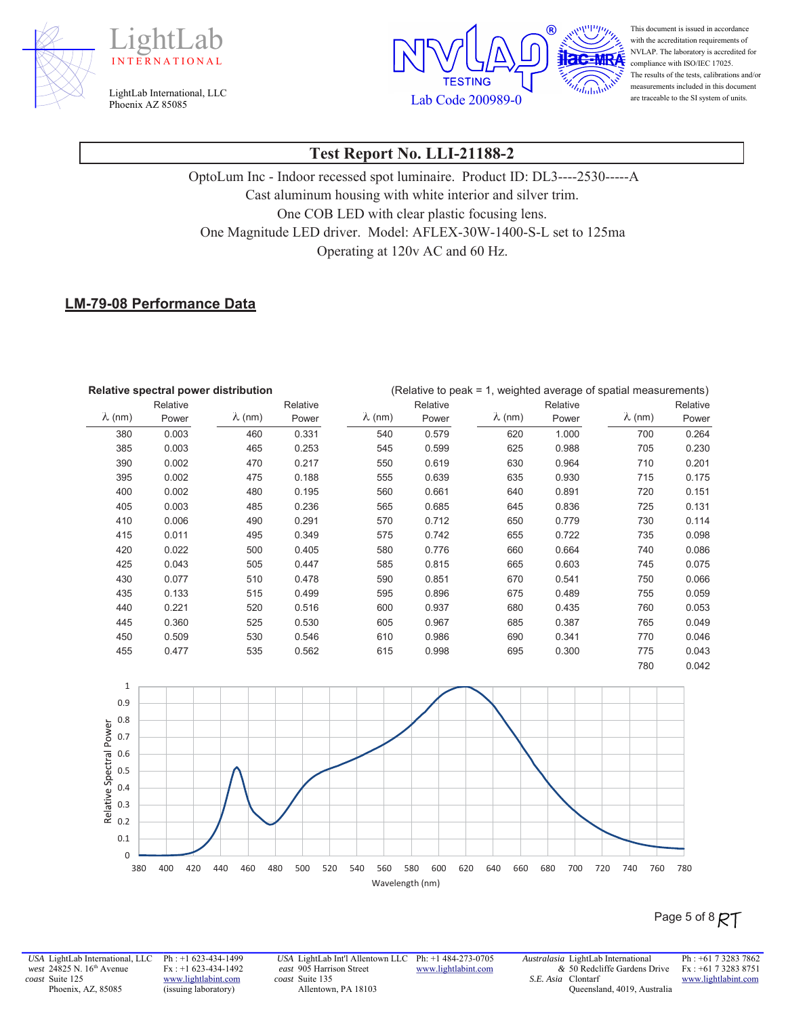





This document is issued in accordance with the accreditation requirements of NVLAP. The laboratory is accredited for compliance with ISO/IEC 17025. The results of the tests, calibrations and/or measurements included in this document are traceable to the SI system of units.

#### **Test Report No. LLI-21188-2**

OptoLum Inc - Indoor recessed spot luminaire. Product ID: DL3----2530-----A Cast aluminum housing with white interior and silver trim. One COB LED with clear plastic focusing lens. One Magnitude LED driver. Model: AFLEX-30W-1400-S-L set to 125ma Operating at 120v AC and 60 Hz.

#### **LM-79-08 Performance Data**

| Relative spectral power distribution |          |                | (Relative to peak = 1, weighted average of spatial measurements) |                |          |                |          |                |          |
|--------------------------------------|----------|----------------|------------------------------------------------------------------|----------------|----------|----------------|----------|----------------|----------|
|                                      | Relative |                | Relative                                                         |                | Relative |                | Relative |                | Relative |
| $\lambda$ (nm)                       | Power    | $\lambda$ (nm) | Power                                                            | $\lambda$ (nm) | Power    | $\lambda$ (nm) | Power    | $\lambda$ (nm) | Power    |
| 380                                  | 0.003    | 460            | 0.331                                                            | 540            | 0.579    | 620            | 1.000    | 700            | 0.264    |
| 385                                  | 0.003    | 465            | 0.253                                                            | 545            | 0.599    | 625            | 0.988    | 705            | 0.230    |
| 390                                  | 0.002    | 470            | 0.217                                                            | 550            | 0.619    | 630            | 0.964    | 710            | 0.201    |
| 395                                  | 0.002    | 475            | 0.188                                                            | 555            | 0.639    | 635            | 0.930    | 715            | 0.175    |
| 400                                  | 0.002    | 480            | 0.195                                                            | 560            | 0.661    | 640            | 0.891    | 720            | 0.151    |
| 405                                  | 0.003    | 485            | 0.236                                                            | 565            | 0.685    | 645            | 0.836    | 725            | 0.131    |
| 410                                  | 0.006    | 490            | 0.291                                                            | 570            | 0.712    | 650            | 0.779    | 730            | 0.114    |
| 415                                  | 0.011    | 495            | 0.349                                                            | 575            | 0.742    | 655            | 0.722    | 735            | 0.098    |
| 420                                  | 0.022    | 500            | 0.405                                                            | 580            | 0.776    | 660            | 0.664    | 740            | 0.086    |
| 425                                  | 0.043    | 505            | 0.447                                                            | 585            | 0.815    | 665            | 0.603    | 745            | 0.075    |
| 430                                  | 0.077    | 510            | 0.478                                                            | 590            | 0.851    | 670            | 0.541    | 750            | 0.066    |
| 435                                  | 0.133    | 515            | 0.499                                                            | 595            | 0.896    | 675            | 0.489    | 755            | 0.059    |
| 440                                  | 0.221    | 520            | 0.516                                                            | 600            | 0.937    | 680            | 0.435    | 760            | 0.053    |
| 445                                  | 0.360    | 525            | 0.530                                                            | 605            | 0.967    | 685            | 0.387    | 765            | 0.049    |
| 450                                  | 0.509    | 530            | 0.546                                                            | 610            | 0.986    | 690            | 0.341    | 770            | 0.046    |
| 455                                  | 0.477    | 535            | 0.562                                                            | 615            | 0.998    | 695            | 0.300    | 775            | 0.043    |
|                                      |          |                |                                                                  |                |          |                |          | 780            | 0.042    |



### Page 5 of 8  $R\mathcal{T}$

*USA* LightLab International, LLC *west* 24825 N. 16<sup>th</sup> Avenue *coast* Suite 125 Phoenix, AZ, 85085

Ph : +1 623-434-1499 Fx : +1 623-434-1492 www.lightlabint.com (issuing laboratory)

*USA* LightLab Int'l Allentown LLC Ph: +1 484-273-0705 *east* 905 Harrison Street *coast* Suite 135 Allentown, PA 18103

www.lightlabint.com

*Australasia* LightLab International *&* 50 Redcliffe Gardens Drive *S.E. Asia*  Clontarf Queensland, 4019, Australia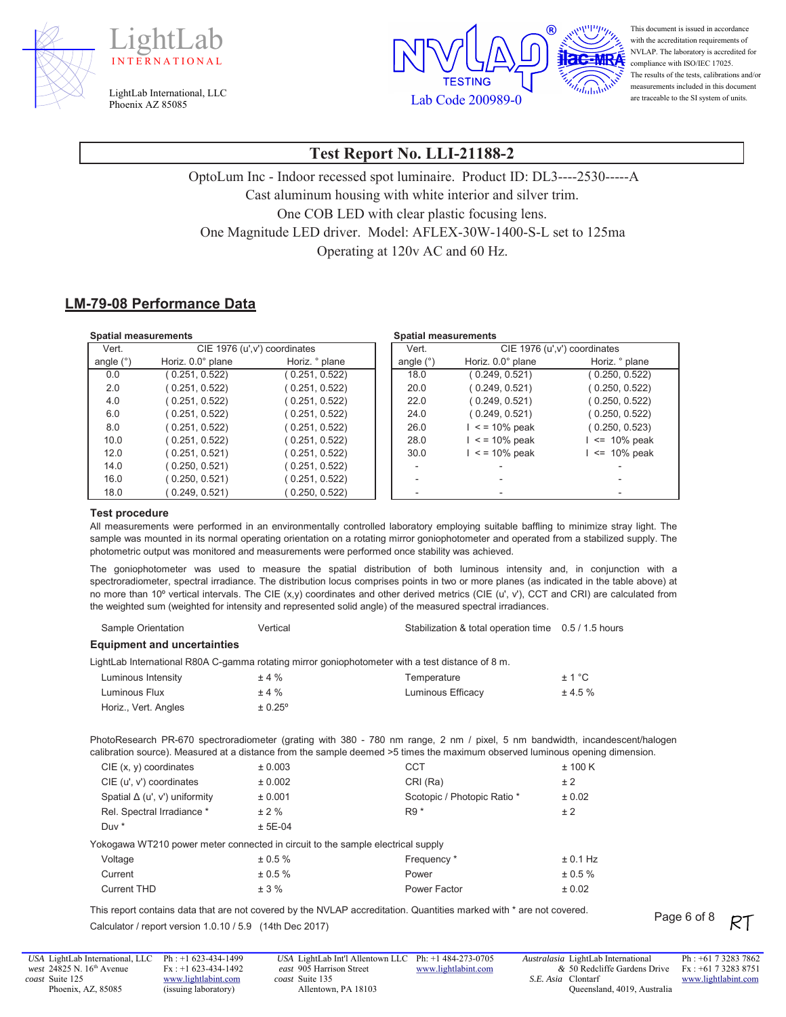





This document is issued in accordance with the accreditation requirements of NVLAP. The laboratory is accredited for compliance with ISO/IEC 17025. The results of the tests, calibrations and/or measurements included in this document are traceable to the SI system of units.

### **Test Report No. LLI-21188-2**

OptoLum Inc - Indoor recessed spot luminaire. Product ID: DL3----2530-----A Cast aluminum housing with white interior and silver trim. One COB LED with clear plastic focusing lens. One Magnitude LED driver. Model: AFLEX-30W-1400-S-L set to 125ma Operating at  $120v$  AC and 60 Hz.

#### **LM-79-08 Performance Data**

| <b>Spatial measurements</b> |                               |                |             | <b>Spatial measurements</b> |                               |
|-----------------------------|-------------------------------|----------------|-------------|-----------------------------|-------------------------------|
| Vert.                       | CIE 1976 (u', v') coordinates |                | Vert.       |                             | CIE 1976 (u', v') coordinates |
| angle (°)                   | Horiz. 0.0° plane             | Horiz. ° plane | angle $(°)$ | Horiz. 0.0° plane           | Horiz. ° plane                |
| 0.0                         | (0.251, 0.522)                | (0.251, 0.522) | 18.0        | (0.249, 0.521)              | (0.250, 0.522)                |
| 2.0                         | (0.251, 0.522)                | (0.251, 0.522) | 20.0        | (0.249, 0.521)              | (0.250, 0.522)                |
| 4.0                         | (0.251, 0.522)                | (0.251, 0.522) | 22.0        | (0.249, 0.521)              | (0.250, 0.522)                |
| 6.0                         | (0.251, 0.522)                | (0.251, 0.522) | 24.0        | (0.249, 0.521)              | (0.250, 0.522)                |
| 8.0                         | (0.251, 0.522)                | (0.251, 0.522) | 26.0        | $\le$ = 10% peak            | (0.250, 0.523)                |
| 10.0                        | (0.251, 0.522)                | (0.251, 0.522) | 28.0        | $\le$ = 10% peak            | $\leq$ 10% peak               |
| 12.0                        | (0.251, 0.521)                | (0.251, 0.522) | 30.0        | $\le$ = 10% peak            | $\leq$ 10% peak               |
| 14.0                        | (0.250, 0.521)                | (0.251, 0.522) |             |                             |                               |
| 16.0                        | 0.250, 0.521                  | (0.251, 0.522) |             |                             |                               |
| 18.0                        | 0.249, 0.521                  | 0.250, 0.522   |             |                             |                               |

#### **Test procedure**

All measurements were performed in an environmentally controlled laboratory employing suitable baffling to minimize stray light. The sample was mounted in its normal operating orientation on a rotating mirror goniophotometer and operated from a stabilized supply. The photometric output was monitored and measurements were performed once stability was achieved.

The goniophotometer was used to measure the spatial distribution of both luminous intensity and, in conjunction with a spectroradiometer, spectral irradiance. The distribution locus comprises points in two or more planes (as indicated in the table above) at no more than 10º vertical intervals. The CIE (x,y) coordinates and other derived metrics (CIE (u', v'), CCT and CRI) are calculated from the weighted sum (weighted for intensity and represented solid angle) of the measured spectral irradiances.

| <b>Equipment and uncertainties</b>                                              |           |                                                                                                                                                                                                                                                             |            |
|---------------------------------------------------------------------------------|-----------|-------------------------------------------------------------------------------------------------------------------------------------------------------------------------------------------------------------------------------------------------------------|------------|
|                                                                                 |           | LightLab International R80A C-gamma rotating mirror goniophotometer with a test distance of 8 m.                                                                                                                                                            |            |
| Luminous Intensity                                                              | ±4%       | Temperature                                                                                                                                                                                                                                                 | ± 1 °C     |
| Luminous Flux                                                                   | ±4%       | Luminous Efficacy                                                                                                                                                                                                                                           | ± 4.5%     |
| Horiz., Vert. Angles                                                            | ± 0.25°   |                                                                                                                                                                                                                                                             |            |
|                                                                                 |           | PhotoResearch PR-670 spectroradiometer (grating with 380 - 780 nm range, 2 nm / pixel, 5 nm bandwidth, incandescent/halogen<br>calibration source). Measured at a distance from the sample deemed >5 times the maximum observed luminous opening dimension. |            |
| $CIE$ (x, y) coordinates                                                        | ± 0.003   | <b>CCT</b>                                                                                                                                                                                                                                                  | ± 100 K    |
| CIE (u', v') coordinates                                                        | ± 0.002   | CRI (Ra)                                                                                                                                                                                                                                                    | ± 2        |
| Spatial $\Delta$ (u', v') uniformity                                            | ± 0.001   | Scotopic / Photopic Ratio *                                                                                                                                                                                                                                 | ± 0.02     |
| Rel. Spectral Irradiance *                                                      | ± 2%      | $R9*$                                                                                                                                                                                                                                                       | ± 2        |
| Duy *                                                                           | $± 5E-04$ |                                                                                                                                                                                                                                                             |            |
| Yokogawa WT210 power meter connected in circuit to the sample electrical supply |           |                                                                                                                                                                                                                                                             |            |
| Voltage                                                                         | ± 0.5 %   | Frequency *                                                                                                                                                                                                                                                 | ± 0.1 Hz   |
| Current                                                                         | ± 0.5 %   | Power                                                                                                                                                                                                                                                       | $± 0.5 \%$ |
| <b>Current THD</b>                                                              | ± 3%      | Power Factor                                                                                                                                                                                                                                                | ± 0.02     |

Sample Orientation **6DPS** 6DPS of the Unit of Stabilization & total operation time 6.5 / 1.5 hours

This report contains data that are not covered by the NVLAP accreditation. Quantities marked with \* are not covered. Calculator / report version 1.0.10 / 5.9 (14th Dec 2017)

Ph : +1 623-434-1499 Fx : +1 623-434-1492 www.lightlabint.com (issuing laboratory)

*USA* LightLab Int'l Allentown LLC Ph: +1 484-273-0705 *east* 905 Harrison Street *coast* Suite 135 Allentown, PA 18103 www.lightlabint.com *Australasia* LightLab International *&* 50 Redcliffe Gardens Drive *S.E. Asia*  Clontarf Queensland, 4019, Australia

Ph : +61 7 3283 7862 Fx : +61 7 3283 8751 www.lightlabint.com

Page 6 of 8 RT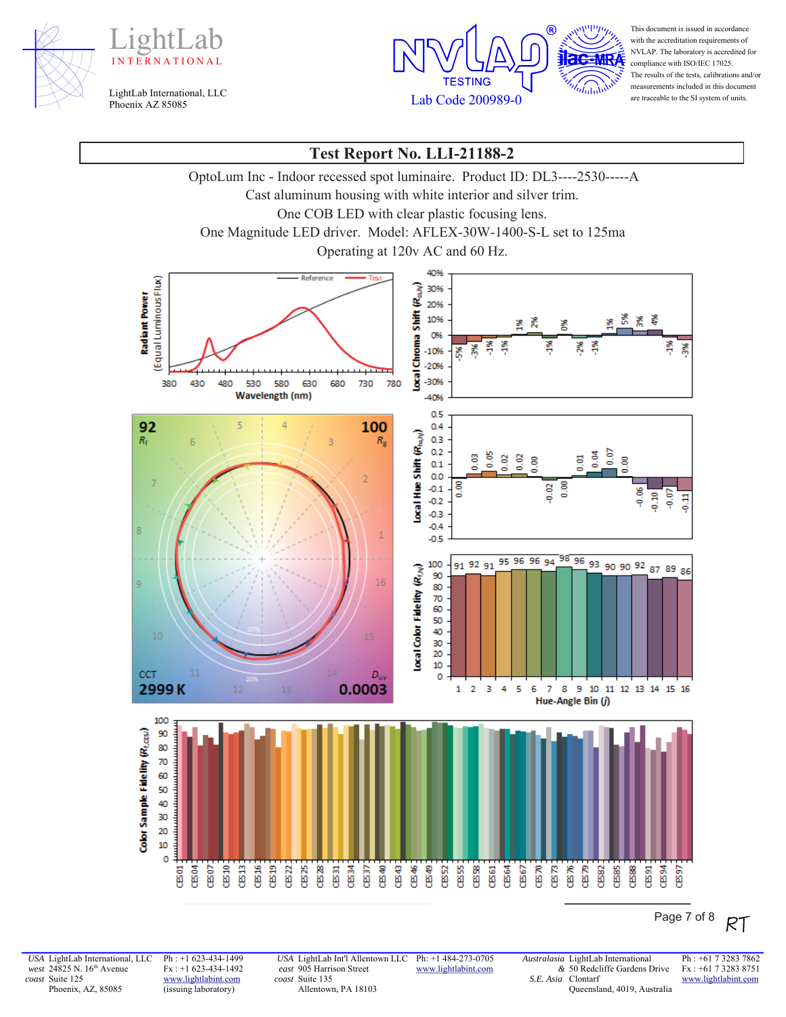





This document is issued in accordance with the accreditation requirements of NVLAP. The laboratory is accredited for compliance with ISO/IEC 17025. The results of the tests, calibrations and/or measurements included in this document are traceable to the SI system of units.

### **Test Report No. LLI-21188-2**

OptoLum Inc - Indoor recessed spot luminaire. Product ID: DL3----2530-----A

Cast aluminum housing with white interior and silver trim.

One COB LED with clear plastic focusing lens.

One Magnitude LED driver. Model: AFLEX-30W-1400-S-L set to 125ma

Operating at 120v AC and 60 Hz.



Page 7 of 8 RT

*USA* LightLab International, LLC *west* 24825 N. 16<sup>th</sup> Avenue *coast* Suite 125 Phoenix, AZ, 85085

Ph : +1 623-434-1499 Fx : +1 623-434-1492 www.lightlabint.com (issuing laboratory)

*USA* LightLab Int'l Allentown LLC *east* 905 Harrison Street *coast* Suite 135 Allentown, PA 18103

Ph: +1 484-273-0705 www.lightlabint.com

*Australasia* LightLab International *&* 50 Redcliffe Gardens Drive *S.E. Asia*  Clontarf Queensland, 4019, Australia